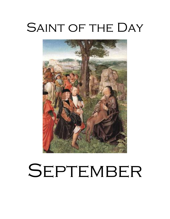# SAINT OF THE DAY



# SEPTEMBER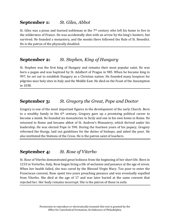## **September 1:** *St. Giles, Abbot*

St. Giles was a pious and learned nobleman in the 7<sup>th</sup> century who left his home to live in the wilderness of France. He was accidentally shot with an arrow by the king's hunters, but survived. He founded a monastery, and the monks there followed the Rule of St. Benedict. He is the patron of the physically disabled.

## **September 2:** *St. Stephen, King of Hungary*

St. Stephen was the first king of Hungary and remains their most popular saint. He was born a pagan and was baptized by St. Adalbert of Prague in 985. When he became king in 997, he set out to establish Hungary as a Christian nation. He founded many hospices for pilgrims near holy sites in Italy and the Middle East. He died on the Feast of the Assumption in 1038.

# **September 3:** *St. Gregory the Great, Pope and Doctor*

Gregory is one of the most important figures in the development of the early Church. Born to a wealthy family in the  $6<sup>th</sup>$  century, Gregory gave up a promising political career to become a monk. He founded six monasteries in Sicily and one in his own home in Rome. He returned to Rome and became abbot of St. Andrew's Monastery, which thrived under his leadership. He was elected Pope in 590. During the fourteen years of his papacy, Gregory reformed the liturgy, laid out guidelines for the duties of bishops, and aided the poor. He also instituted the Stations of the Cross. He is the patron saint of teachers.

# **September 4:** *St. Rose of Viterbo*

St. Rose of Viterbo demonstrated great holiness from the beginning of her short life. Born in 1233 in Verterbo, Italy, Rose began living a life of seclusion and penance at the age of seven. When her health failed, she was cured by the Blessed Virgin Mary. Too poor to enter the Franciscan convent, Rose spent two years preaching penance and was eventually expelled from Viterbo. She died at the age of 17 and was later buried at the same convent that rejected her. Her body remains incorrupt. She is the patron of those in exile.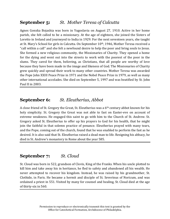## **September 5:** *St. Mother Teresa of Calcutta*

Agnes Gonxka Bojaxhia was born in Yugoslavia on August 27, 1910. Active in her home parish, she felt called to be a missionary. At the age of eighteen, she joined the Sisters of Loretto in Ireland and journeyed to India in 1929. For the next seventeen years, she taught at St. Mary's School for girls in Calcutta. On September 10th, 1946, Mother Teresa received a "call within a call" and she felt a newfound desire to help the poor and bring souls to Jesus. She formed a new religious community, the Missionaries of Charity. They opened a home for the dying and went out into the streets to work with the poorest of the poor in the slums. They cared for them, believing, as Christians, that all people are worthy of love because they have been made in the image and likeness of God. The Missionaries of Charity grew quickly and spread their work to many other countries. Mother Teresa was awarded the Pope John XXIII Peace Prize in 1971 and the Nobel Peace Prize in 1979, as well as many other international accolades. She died on September 5, 1997 and was beatified by St. John Paul II in 2003.

## **September 6:** *St. Eleutherius, Abbot*

A close friend of St. Gregory the Great, St. Eleutherius was a 6th century abbot known for his holy simplicity. St. Gregory the Great was not able to fast on Easter-eve on account of extreme weakness. He engaged this saint to go with him to the Church of St. Andrew. St. Gregory asked St. Eleutherius to offer up his prayers to God for his health, that he might join the faithful in that solemn practice of penance. Eleutherius prayed with many tears, and the Pope, coming out of the church, found that he was enabled to perform the fast as he desired. It is also said that St. Eleutherius raised a dead man to life. Resigning his abbacy, he died in St. Andrew's monastery in Rome about the year 585.

# **September 7:** *St. Cloud*

St. Cloud was born in 522, grandson of Clovis, King of the Franks. When his uncle plotted to kill him and take away his in heritance, he fled to safety and abandoned all his wealth. He never attempted to recover his kingdom. Instead, he was raised by his grandmother, St. Clothide, in Paris. He became a hermit and disciple of St. Severinus of Noricum, and was ordained a priest in 551. Visited by many for counsel and healing, St. Cloud died at the age of thirty-six in 560.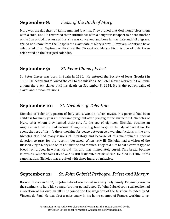## **September 8:** *Feast of the Birth of Mary*

Mary was the daughter of Saints Ann and Joachim. They prayed that God would bless them with a child, and He rewarded their faithfulness with a daughter set apart to be the mother of the Son of God. Because of this, she was conceived and born immaculate and full of grace. We do not know from the Gospels the exact date of Mary's birth. However, Christians have celebrated it on September  $8<sup>th</sup>$  since the  $7<sup>th</sup>$  century. Mary's birth is one of only three celebrated on the liturgical calendar.

# **September 9:** *St. Peter Claver, Priest*

St. Peter Claver was born in Spain in 1580. He entered the Society of Jesus (Jesuits) in 1602. He heard and followed the call to the missions. St. Peter Claver worked in Columbia among the black slaves until his death on September 8, 1654. He is the patron saint of slaves and African missions.

# **September 10:** *St. Nicholas of Tolentino*

Nicholas of Tolentino, patron of holy souls, was an Italian mystic. His parents had been childless for many years but became pregnant after praying at the shrine of St. Nicholas of Myra, after whom they named their son. At the age of eighteen, Nicholas became an Augustinian friar. He had visions of angels telling him to go to the city of Tolentino. He spent the rest of his life there working for peace between two warring factions in the city. Nicholas also had many visions of Purgatory and because of this maintained a special devotion to pray for the recently deceased. When very ill, Nicholas had a vision of the Blessed Virgin Mary and Saints Augustine and Monica. They told him to eat a certain type of bread roll dipped in water. He did this and was immediately cured. This bread became known as Saint Nicholas Bread and is still distributed at his shrine. He died in 1306. At his canonization, Nicholas was credited with three hundred miracles.

#### **September 11:** *St. John Gabriel Perboyre, Priest and Martyr*

Born in France in 1802, St. John Gabriel was raised in a very holy family. Originally sent to the seminary to help his younger brother get adjusted, St. John Gabriel soon realized he had a vocation of his own. In 1818 he joined the Congregation of the Mission, founded by St. Vincent de Paul. He was first a missionary in his home country of France, working to re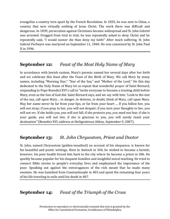evangelize a country torn apart by the French Revolution. In 1835, he was sent to China, a country that new virtually nothing of Jesus Christ. The work there was difficult and dangerous. In 1839, persecution against Christians became widespread and St. John Gabriel was arrested. Dragged from trial to trial, he was repeatedly asked to deny Christ and he repeatedly said, "I would sooner die than deny my faith!" After much suffering, St. John Gabriel Perboyre was martyred on September 11, 1840. He was canonized by St. John Paul II in 1996.

#### **September 12:** *Feast of the Most Holy Name of Mary*

In accordance with Jewish custom, Mary's parents named her several days after her birth and we celebrate this feast after the Feast of the Birth of Mary. We call Mary by many names, including "Morning Star," "Star of the Sea," and "Mother of the Lord." On this day dedicated to the Holy Name of Mary let us repeat that wonderful prayer of Saint Bernard, responding to Pope Benedict XVI's call to "invite everyone to become a trusting child before Mary, even as the Son of God did. Saint Bernard says, and we say with him: 'Look to the star of the sea, call upon Mary… in danger, in distress, in doubt, think of Mary, call upon Mary. May her name never be far from your lips, or far from your heart … If you follow her, you will not stray; if you pray to her, you will not despair; if you turn your thoughts to her, you will not err. If she holds you, you will not fall; if she protects you, you need not fear; if she is your guide, you will not tire; if she is gracious to you, you will surely reach your destination"'(Benedict XVI, address at Heiligenkreuz Abbey, September 9, 2007).

#### **September 13:** *St. John Chrysostom, Priest and Doctor*

St. John, named Chrysostom (golden-mouthed) on account of his eloquence, is known for his beautiful and poetic writings. Born in Antioch in 344, he wished to become a hermit; however, his poor health forced him back to the city where he became a priest in 386. He quickly became popular for his eloquent homilies and insightful moral teaching. He tried to connect Bible stories to people's everyday lives and emphasized the importance of the poor. Speaking out against the extravagances of the rich meant that he made many enemies. He was banished from Constantinople in 403 and spent the remaining four years of his life traveling in exile until his death in 407.

# **September 14:** *Feast of the Triumph of the Cross*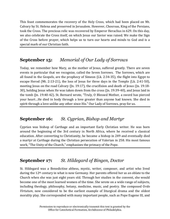This feast commemorates the recovery of the Holy Cross, which had been placed on Mt. Calvary by St. Helena and preserved in Jerusalem. However, Chosroas, King of the Persians, took the Cross. The precious relic was recovered by Emperor Heraclius in 629. On this day, we also celebrate the Cross itself, on which Jesus our Savior was raised. We make the Sign of the Cross before prayer, which helps us to turn our hearts and minds to God and is a special mark of our Christian faith.

## **September 15:** *Memorial of Our Lady of Sorrows*

Today, we remember how Mary, as the mother of Jesus, suffered greatly. There are seven events in particular that we recognize, called the Seven Sorrows. The Sorrows, which are all found in the Gospels, are the prophecy of Simeon (Lk. 2:34-35), the flight into Egypt to escape Herod (Mt. 2:13-21), the loss of Jesus for three days in the Temple (Lk. 2:41-50), meeting Jesus on the road Calvary (Jn. 19:17), the crucifixion and death of Jesus (Jn. 19:18-30), holding Jesus when He was taken down from the cross (Jn. 19:39-40), and Jesus laid in the tomb (Jn. 19:40-42). St. Bernard wrote, "Truly, O Blessed Mother, a sword has pierced your heart…He died in body through a love greater than anyone had known. She died in spirit through a love unlike any other since His." Our Lady of Sorrows, pray for us.

# **September 16:** *St. Cyprian, Bishop and Martyr*

Cyprian was bishop of Carthage and an important Early Christian writer. He was born around the beginning of the 3rd century in North Africa, where he received a classical education. After converting to Christianity, he became a bishop in 249 and eventually died a martyr at Carthage during the Christian persecution of Valerian in 258. His most famous work, "The Unity of the Church," emphasizes the primacy of the Pope.

# **September 17:** *St. Hildegard of Bingen, Doctor*

St. Hildegard was a Benedictine abbess, mystic, writer, composer, and artist who lived during the 12<sup>th</sup> century in what is now Germany. Her parents offered her as an oblate to the Church when she was just eight years old. Through her studies in the convent, she would become one of the most learned women of the time. She wrote on a wide range of subjects, including theology, philosophy, botany, medicine, music, and poetry. She composed O*rdo Virtutum*, now considered to be the earliest example of liturgical drama and the oldest morality play. She corresponded with many important people, such as Pope Eugene III, and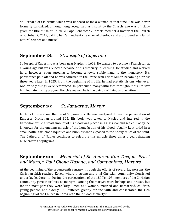St. Bernard of Clairvaux, which was unheard of for a woman at that time. She was never formerly canonized, although long recognized as a saint by the Church. She was officially given the title of "saint" in 2012. Pope Benedict XVI proclaimed her a Doctor of the Church on October 7, 2012, calling her "an authentic teacher of theology and a profound scholar of natural science and music."

# **September 18:** *St. Joseph of Cupertino*

St. Joseph of Cupertino was born near Naples in 1603. He wanted to become a Franciscan at a young age but was rejected because of his difficulty in learning. He studied and worked hard, however, even agreeing to become a lowly stable hand to the monastery. His persistence paid off and he was admitted to the Franciscan Friars Minor, becoming a priest three years later in 1625. From the beginning of his life, he had ecstatic visions whenever God or holy things were referenced. In particular, many witnesses throughout his life saw him levitate during prayers. For this reason, he is the patron of flying and aviation.

#### **September 19:** *St. Januarius, Martyr*

Little is known about the life of St. Januarius. He was martyred during the persecution of Emperor Diocletian around 305. His body was taken to Naples and interred in the Cathedral, while a small amount of his blood was placed in a glass vial and sealed. Today, he is known for the ongoing miracle of the liquefaction of his blood. Usually kept dried in a small bottle, this blood liquefies and bubbles when exposed to the bodily relics of the saint. The Cathedral of Naples continues to celebrate this miracle three times a year, drawing huge crowds of pilgrims.

## **September 20:** *Memorial of St. Andrew Kim Taegon, Priest and Martyr, Paul Chong Hasang, and Companions, Martyrs*

At the beginning of the seventeenth century, through the efforts of several lay persons, the Christian faith reached Korea, where a strong and vital Christian community flourished under lay leadership. During the persecutions of the 1800's, 103 members of the Christian community gave their lives as martyrs. Among the martyrs were bishops and priests, but for the most part they were laity - men and women, married and unmarried, children, young people, and elderly. All suffered greatly for the faith and consecrated the rich beginnings of the Church in Korea with their blood as martyrs.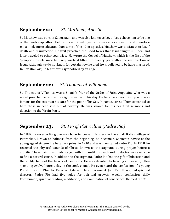#### **September 21:** *St. Matthew, Apostle*

St. Matthew was born in Capernaum and was also known as Levi. Jesus chose him to be one of the twelve apostles. Before his work with Jesus, he was a tax collector and therefore most likely more educated than some of the other apostles. Matthew was a witness to Jesus' death and resurrection. He first preached the Good News that Jesus taught in Judea, and later traveled to other countries. He wrote the Gospel of Matthew, which is the first of the Synoptic Gospels since he likely wrote it fifteen to twenty years after the resurrection of Jesus. Although we do not know for certain how he died, he is believed to be have martyred. In Christian art, St. Matthew is symbolized by an angel.

#### **September 22:** *St. Thomas of Villanova*

St. Thomas of Villanova was a Spanish friar of the Order of Saint Augustine who was a noted preacher, ascetic and religious writer of his day. He became an archbishop who was famous for the extent of his care for the poor of his See. In particular, St. Thomas wanted to help those in need rise out of poverty. He was known for his beautiful sermons and devotion to the Virgin Mary.

#### **September 23:** *St. Pio of Pietreclina (Padre Pio)*

In 1887, Francesco Forgione was born to peasant farmers in the small Italian village of Pietreclina. Drawn to holiness from the beginning, he became a Capuchin novice at the young age of sixteen. He became a priest in 1910 and was then called Padre Pio. In 1918, he received the physical wounds of Christ, known as the stigmata, during prayer before a crucifix. These painful wounds stayed with him until his death and no doctor was ever able to find a natural cause. In addition to the stigmata, Padre Pio had the gift of bilocation and the ability to read the hearts of penitents. He was devoted to hearing confession, often spending twelve hours a day in the confessional. He even heard the confession of a young Polish priest in 1947, Fr. Karol Wojtyla, who later became St. John Paul II. A gifted spiritual director, Padre Pio had five rules for spiritual growth: weekly confession, daily Communion, spiritual reading, meditation, and examination of conscience. He died in 1968.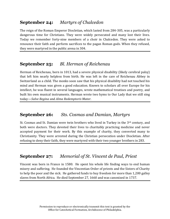## **September 24:** *Martyrs of Chalcedon*

The reign of the Roman Emperor Diocletian, which lasted from 284-305, was a particularly dangerous time for Christians. They were widely persecuted and many lost their lives. Today we remember forty-nine members of a choir in Chalcedon. They were asked to renounce their faith and perform sacrifices to the pagan Roman gods. When they refused, they were martyred in the public arena in 304.

## **September 25:** *Bl. Herman of Reichenau*

Herman of Reichenau, born in 1013, had a severe physical disability (likely cerebral palsy) that left him nearly helpless from birth. He was left in the care of Reichenau Abbey in Switzerland as a child. The monks soon saw that his physical disability had not touched his mind and Herman was given a good education. Known to scholars all over Europe for his intellect, he was fluent in several languages, wrote mathematical treatises and poetry, and built his own musical instruments. Herman wrote two hyms to Our Lady that we still sing today—*Salve Regina* and *Alma Redemptoris Mater*.

#### **September 26:** *Sts. Cosmas and Damian, Martyrs*

St. Cosmas and St. Damian were twin brothers who lived in Turkey in the  $3<sup>rd</sup>$  century, and both were doctors. They devoted their lives to charitably practicing medicine and never accepted payment for their work. By this example of charity, they converted many to Christianity. They were arrested during the Christian persecution under Diocletian. After refusing to deny their faith, they were martyred with their two younger brothers in 283.

#### **September 27:** *Memorial of St. Vincent de Paul, Priest*

Vincent was born in France in 1580. He spent his whole life finding ways to end human misery and suffering. He founded the Vincentian Order of priests and the Sisters of Charity to help the poor and the sick. He gathered funds to buy freedom for more than 1,200 galley slaves from North Africa. He died September 27, 1660 and was canonized in 1737.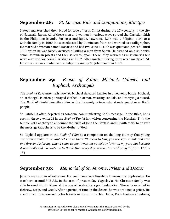## **September 28:** *St. Lorenzo Ruiz and Companions, Martyrs*

Sixteen martyrs shed their blood for love of Jesus Christ during the  $17<sup>th</sup>$  century in the city of Nagasaki, Japan. All of these men and women in various ways spread the Christian faith in the Philippine Islands, Formosa and Japan. Lawrence Ruiz was a Filipino, born to a Catholic family in 1600. He was educated by Dominican friars and worked as a calligrapher. He married a woman named Rosario and had two sons. His life was quiet and peaceful until 1636 when he was falsely accused of killing a man from Spain. He escaped on a ship with some Dominican priests and they sailed to Japan. There, they worked as missionaries but were arrested for being Christians in 1637. After much suffering, they were martyred. St. Lorenzo Ruiz was made the first Filipino saint by St. John Paul II in 1987.

## **September 29:** *Feasts of Saints Michael, Gabriel, and Raphael: Archangels*

The *Book of Revelation* tells how St. Michael defeated Lucifer in a heavenly battle. Michael, an archangel, is often portrayed clothed in armor, wearing sandals, and carrying a sword. The *Book of Daniel* describes him as the heavenly prince who stands guard over God's people.

St. Gabriel is often depicted as someone communicating God's message. In the Bible, he is seen in three events: 1) in the *Book of Daniel* in a vision concerning the Messiah; 2) in the temple with Zachary to announce the birth of John the Baptist, and 3) with Mary to deliver the message that she is to be the Mother of God.

St. Raphael appears in the *Book of Tobit* as a companion on the long journey that young Tobit must make: *"But Raphael said to them: 'No need to fear; you are safe. Thank God now and forever. As for me, when I came to you it was not out of any favor on my part, but because it was God's will. So continue to thank Him every day; praise Him with song.'"* (Tobit 12:17- 18)

#### **September 30:** *Memorial of St. Jerome, Priest and Doctor*

Jerome was a man of extremes. His real name was Eusebius Hieronymus Sophronius. He was born around 345 A.D. in the area of present day Yugoslavia. His Christian family was able to send him to Rome at the age of twelve for a good education. There he excelled in Hebrew, Latin, and Greek. After a period of time in the desert, he was ordained a priest. He spent much time counseling his friends in the spiritual life. Later, Pope Damasas, realizing